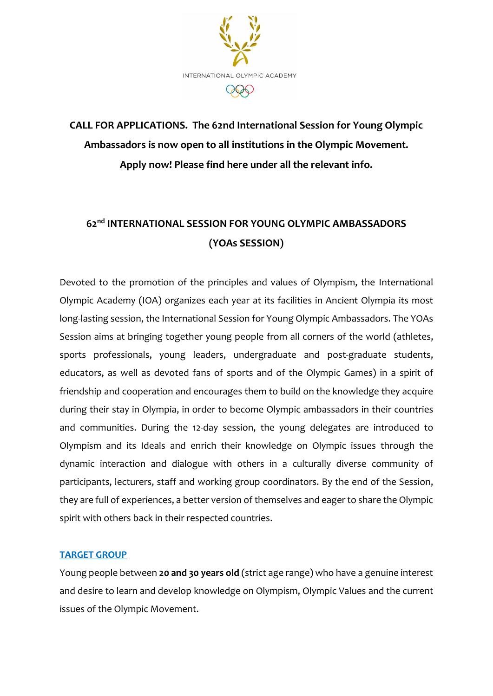

# **CALL FOR APPLICATIONS. The 62nd International Session for Young Olympic Ambassadors is now open to all institutions in the Olympic Movement. Apply now! Please find here under all the relevant info.**

## **62nd INTERNATIONAL SESSION FOR YOUNG OLYMPIC AMBASSADORS (YOAs SESSION)**

Devoted to the promotion of the principles and values of Olympism, the International Olympic Academy (IΟΑ) organizes each year at its facilities in Ancient Olympia its most long-lasting session, the International Session for Young Olympic Ambassadors. The YOAs Session aims at bringing together young people from all corners of the world (athletes, sports professionals, young leaders, undergraduate and post-graduate students, educators, as well as devoted fans of sports and of the Olympic Games) in a spirit of friendship and cooperation and encourages them to build on the knowledge they acquire during their stay in Olympia, in order to become Olympic ambassadors in their countries and communities. During the 12-day session, the young delegates are introduced to Olympism and its Ideals and enrich their knowledge on Olympic issues through the dynamic interaction and dialogue with others in a culturally diverse community of participants, lecturers, staff and working group coordinators. By the end of the Session, they are full of experiences, a better version of themselves and eager to share the Olympic spirit with others back in their respected countries.

#### **TARGET GROUP**

Young people between **20 and 30 years old** (strict age range) who have a genuine interest and desire to learn and develop knowledge on Olympism, Olympic Values and the current issues of the Olympic Movement.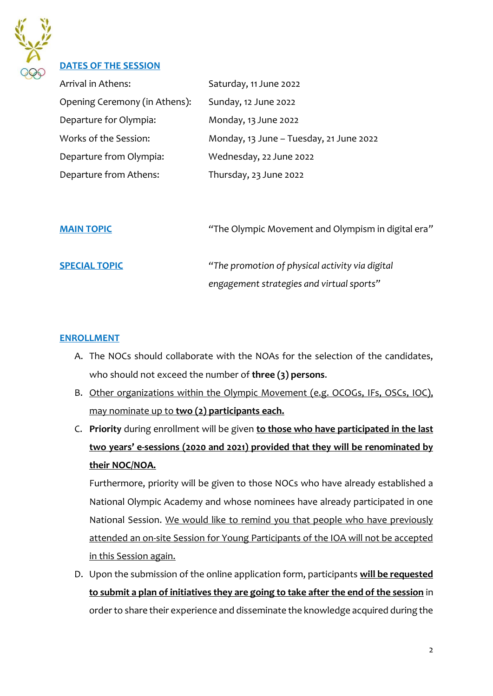

#### **DATES OF THE SESSION**

| Arrival in Athens:            | Saturday, 11 June 2022                  |
|-------------------------------|-----------------------------------------|
| Opening Ceremony (in Athens): | Sunday, 12 June 2022                    |
| Departure for Olympia:        | Monday, 13 June 2022                    |
| Works of the Session:         | Monday, 13 June - Tuesday, 21 June 2022 |
| Departure from Olympia:       | Wednesday, 22 June 2022                 |
| Departure from Athens:        | Thursday, 23 June 2022                  |

**MAIN TOPIC** *"*The Olympic Movement and Olympism in digital era*"*

**SPECIAL TOPIC** *"The promotion of physical activity via digital engagement strategies and virtual sports"*

#### **ENROLLMENT**

- A. The NOCs should collaborate with the NOAs for the selection of the candidates, who should not exceed the number of **three (3) persons**.
- B. Other organizations within the Olympic Movement (e.g. OCOGs, IFs, OSCs, IOC), may nominate up to **two (2) participants each.**
- C. **Priority** during enrollment will be given **to those who have participated in the last two years' e-sessions (2020 and 2021) provided that they will be renominated by their NOC/NOA.**

Furthermore, priority will be given to those NOCs who have already established a National Olympic Academy and whose nominees have already participated in one National Session. We would like to remind you that people who have previously attended an on-site Session for Young Participants of the IOA will not be accepted in this Session again.

D. Upon the submission of the online application form, participants **will be requested to submit a plan of initiatives they are going to take after the end of the session** in order to share their experience and disseminate the knowledge acquired during the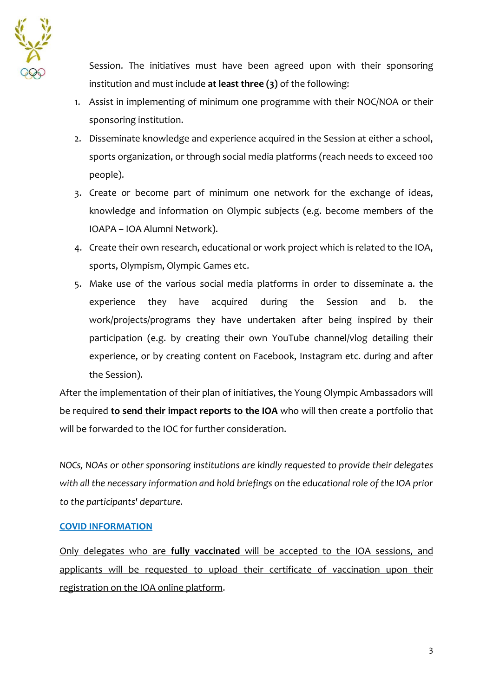

Session. The initiatives must have been agreed upon with their sponsoring institution and must include **at least three (3)** of the following:

- 1. Assist in implementing of minimum one programme with their NOC/NOA or their sponsoring institution.
- 2. Disseminate knowledge and experience acquired in the Session at either a school, sports organization, or through social media platforms (reach needs to exceed 100 people).
- 3. Create or become part of minimum one network for the exchange of ideas, knowledge and information on Olympic subjects (e.g. become members of the IOAPA – IOA Alumni Network).
- 4. Create their own research, educational or work project which is related to the IOA, sports, Olympism, Olympic Games etc.
- 5. Make use of the various social media platforms in order to disseminate a. the experience they have acquired during the Session and b. the work/projects/programs they have undertaken after being inspired by their participation (e.g. by creating their own YouTube channel/vlog detailing their experience, or by creating content on Facebook, Instagram etc. during and after the Session).

After the implementation of their plan of initiatives, the Young Olympic Ambassadors will be required **to send their impact reports to the IOA** who will then create a portfolio that will be forwarded to the IOC for further consideration.

*NOCs, NOAs or other sponsoring institutions are kindly requested to provide their delegates with all the necessary information and hold briefings on the educational role of the IOA prior to the participants' departure.*

#### **COVID INFORMATION**

Only delegates who are **fully vaccinated** will be accepted to the IOA sessions, and applicants will be requested to upload their certificate of vaccination upon their registration on the IOA online platform.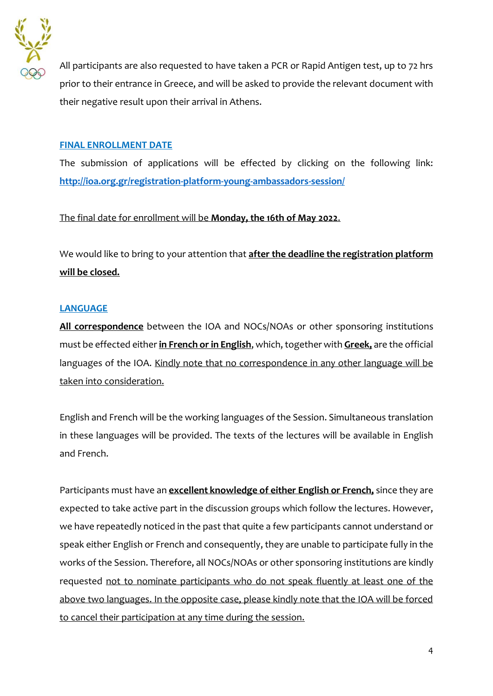

All participants are also requested to have taken a PCR or Rapid Antigen test, up to 72 hrs prior to their entrance in Greece, and will be asked to provide the relevant document with their negative result upon their arrival in Athens.

#### **FINAL ENROLLMENT DATE**

The submission of applications will be effected by clicking on the following link: **<http://ioa.org.gr/registration-platform-young-ambassadors-session/>**

#### The final date for enrollment will be **Monday, the 16th of May 2022**.

We would like to bring to your attention that **after the deadline the registration platform will be closed.** 

#### **LANGUAGE**

**All correspondence** between the IOA and NOCs/NOAs or other sponsoring institutions must be effected either **in French or in English**, which, together with **Greek,** are the official languages of the IOA. Kindly note that no correspondence in any other language will be taken into consideration.

English and French will be the working languages of the Session. Simultaneous translation in these languages will be provided. The texts of the lectures will be available in English and French.

Participants must have an **excellent knowledge of either English or French,** since they are expected to take active part in the discussion groups which follow the lectures. However, we have repeatedly noticed in the past that quite a few participants cannot understand or speak either English or French and consequently, they are unable to participate fully in the works of the Session. Therefore, all NOCs/NOAs or other sponsoring institutions are kindly requested not to nominate participants who do not speak fluently at least one of the above two languages. In the opposite case, please kindly note that the IOA will be forced to cancel their participation at any time during the session.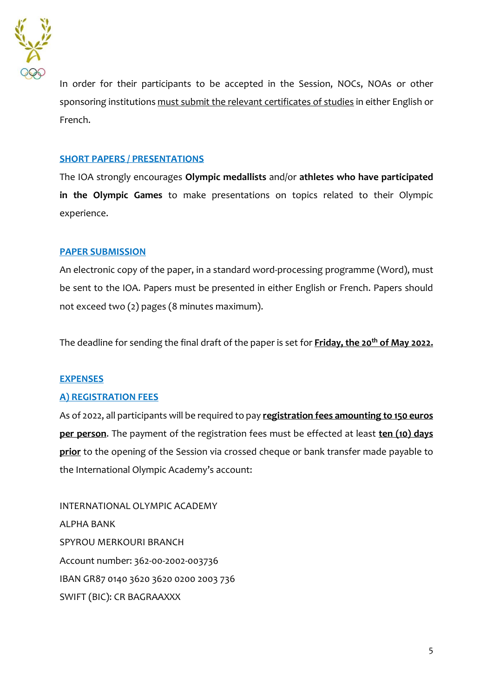

In order for their participants to be accepted in the Session, NOCs, NOAs or other sponsoring institutions must submit the relevant certificates of studies in either English or French.

#### **SHORT PAPERS / PRESENTATIONS**

The IOA strongly encourages **Olympic medallists** and/or **athletes who have participated in the Olympic Games** to make presentations on topics related to their Olympic experience.

#### **PAPER SUBMISSION**

An electronic copy of the paper, in a standard word-processing programme (Word), must be sent to the IOA. Papers must be presented in either English or French. Papers should not exceed two (2) pages (8 minutes maximum).

The deadline for sending the final draft of the paper is set for **Friday, the 20th of May 2022.**

#### **EXPENSES**

#### **A) REGISTRATION FEES**

As of 2022, all participants will be required to pay **registration fees amounting to 150 euros per person**. The payment of the registration fees must be effected at least **ten (10) days prior** to the opening of the Session via crossed cheque or bank transfer made payable to the International Olympic Academy's account:

INTERNATIONAL OLYMPIC ACADEMY ALPHA BANK SPYROU MERKOURI BRANCH Account number: 362-00-2002-003736 IBAN GR87 0140 3620 3620 0200 2003 736 SWIFT (BIC): CR BAGRAAXXX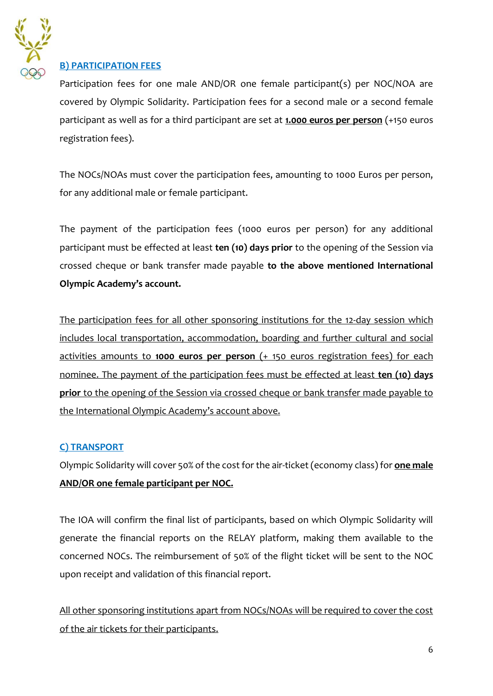

#### **B) PARTICIPATION FEES**

Participation fees for one male AND/OR one female participant(s) per NOC/NOA are covered by Olympic Solidarity. Participation fees for a second male or a second female participant as well as for a third participant are set at **1.000 euros per person** (+150 euros registration fees).

The NOCs/NOAs must cover the participation fees, amounting to 1000 Euros per person, for any additional male or female participant.

The payment of the participation fees (1000 euros per person) for any additional participant must be effected at least **ten (10) days prior** to the opening of the Session via crossed cheque or bank transfer made payable **to the above mentioned International Olympic Academy's account.**

The participation fees for all other sponsoring institutions for the 12-day session which includes local transportation, accommodation, boarding and further cultural and social activities amounts to **1000 euros per person** (+ 150 euros registration fees) for each nominee. The payment of the participation fees must be effected at least **ten (10) days prior** to the opening of the Session via crossed cheque or bank transfer made payable to the International Olympic Academy's account above.

#### **C) TRANSPORT**

Olympic Solidarity will cover 50% of the cost for the air-ticket (economy class) for **one male AND/OR one female participant per NOC.**

The IOA will confirm the final list of participants, based on which Olympic Solidarity will generate the financial reports on the RELAY platform, making them available to the concerned NOCs. The reimbursement of 50% of the flight ticket will be sent to the NOC upon receipt and validation of this financial report.

All other sponsoring institutions apart from NOCs/NOAs will be required to cover the cost of the air tickets for their participants.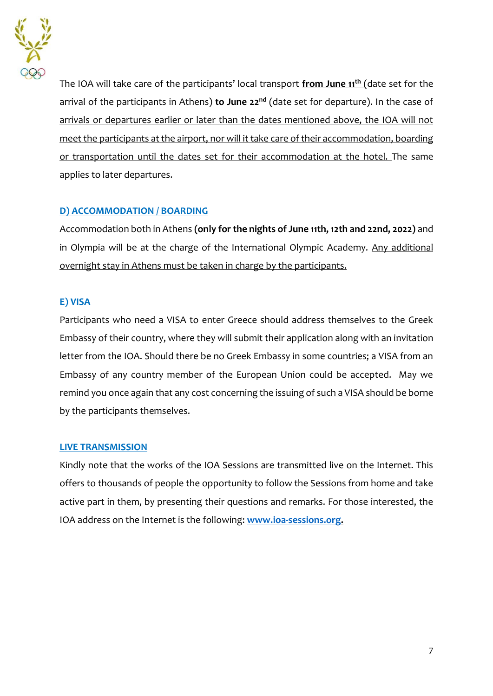

The IOA will take care of the participants' local transport **from June 11th** (date set for the arrival of the participants in Athens) **to June 22nd** (date set for departure). In the case of arrivals or departures earlier or later than the dates mentioned above, the IOA will not meet the participants at the airport, nor will it take care of their accommodation, boarding or transportation until the dates set for their accommodation at the hotel. The same applies to later departures.

### **D) ACCOMMODATION / BOARDING**

Accommodation both in Athens **(only for the nights of June 11th, 12th and 22nd, 2022)** and in Olympia will be at the charge of the International Olympic Academy. Any additional overnight stay in Athens must be taken in charge by the participants.

#### **E) VISA**

Participants who need a VISA to enter Greece should address themselves to the Greek Embassy of their country, where they will submit their application along with an invitation letter from the IOA. Should there be no Greek Embassy in some countries; a VISA from an Embassy of any country member of the European Union could be accepted. May we remind you once again that any cost concerning the issuing of such a VISA should be borne by the participants themselves.

#### **LIVE TRANSMISSION**

Kindly note that the works of the IOA Sessions are transmitted live on the Internet. This offers to thousands of people the opportunity to follow the Sessions from home and take active part in them, by presenting their questions and remarks. For those interested, the IOA address on the Internet is the following: **[www.ioa-sessions.org.](http://www.ioa-sessions.org/)**